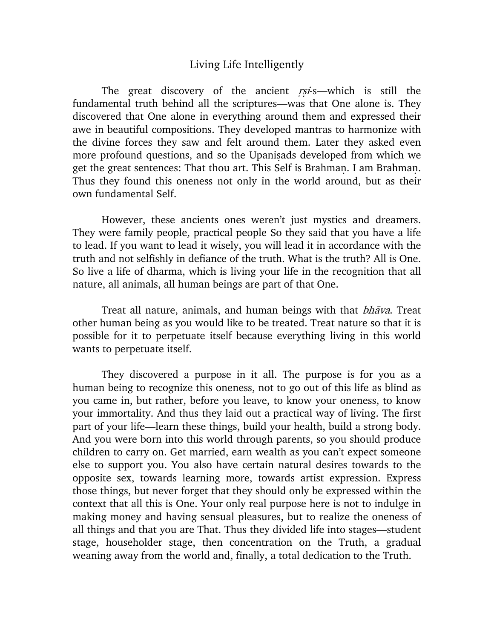## Living Life Intelligently

The great discovery of the ancient rsi-s—which is still the fundamental truth behind all the scriptures—was that One alone is. They discovered that One alone in everything around them and expressed their awe in beautiful compositions. They developed mantras to harmonize with the divine forces they saw and felt around them. Later they asked even more profound questions, and so the Upanisads developed from which we get the great sentences: That thou art. This Self is Brahman. I am Brahman. Thus they found this oneness not only in the world around, but as their own fundamental Self.

However, these ancients ones weren't just mystics and dreamers. They were family people, practical people So they said that you have a life to lead. If you want to lead it wisely, you will lead it in accordance with the truth and not selfishly in defiance of the truth. What is the truth? All is One. So live a life of dharma, which is living your life in the recognition that all nature, all animals, all human beings are part of that One.

Treat all nature, animals, and human beings with that *bhava*. Treat other human being as you would like to be treated. Treat nature so that it is possible for it to perpetuate itself because everything living in this world wants to perpetuate itself.

They discovered a purpose in it all. The purpose is for you as a human being to recognize this oneness, not to go out of this life as blind as you came in, but rather, before you leave, to know your oneness, to know your immortality. And thus they laid out a practical way of living. The first part of your life—learn these things, build your health, build a strong body. And you were born into this world through parents, so you should produce children to carry on. Get married, earn wealth as you can't expect someone else to support you. You also have certain natural desires towards to the opposite sex, towards learning more, towards artist expression. Express those things, but never forget that they should only be expressed within the context that all this is One. Your only real purpose here is not to indulge in making money and having sensual pleasures, but to realize the oneness of all things and that you are That. Thus they divided life into stages—student stage, householder stage, then concentration on the Truth, a gradual weaning away from the world and, finally, a total dedication to the Truth.